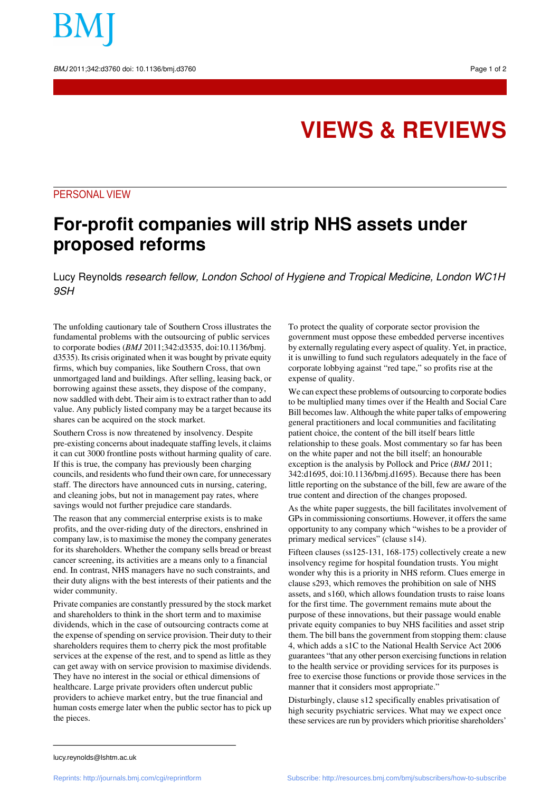BMJ 2011:342:d3760 doi: 10.1136/bmi.d3760 **Page 1 of 2** Page 1 of 2

## **VIEWS & REVIEWS**

## PERSONAL VIEW

## **For-profit companies will strip NHS assets under proposed reforms**

Lucy Reynolds research fellow, London School of Hygiene and Tropical Medicine, London WC1H 9SH

The unfolding cautionary tale of Southern Cross illustrates the fundamental problems with the outsourcing of public services to corporate bodies (*BMJ* 2011;342:d3535, doi:10.1136/bmj. d3535). Its crisis originated when it was bought by private equity firms, which buy companies, like Southern Cross, that own unmortgaged land and buildings. After selling, leasing back, or borrowing against these assets, they dispose of the company, now saddled with debt. Their aim isto extract rather than to add value. Any publicly listed company may be a target because its shares can be acquired on the stock market.

Southern Cross is now threatened by insolvency. Despite pre-existing concerns about inadequate staffing levels, it claims it can cut 3000 frontline posts without harming quality of care. If this is true, the company has previously been charging councils, and residents who fund their own care, for unnecessary staff. The directors have announced cuts in nursing, catering, and cleaning jobs, but not in management pay rates, where savings would not further prejudice care standards.

The reason that any commercial enterprise exists is to make profits, and the over-riding duty of the directors, enshrined in company law, isto maximise the money the company generates for its shareholders. Whether the company sells bread or breast cancer screening, its activities are a means only to a financial end. In contrast, NHS managers have no such constraints, and their duty aligns with the best interests of their patients and the wider community.

Private companies are constantly pressured by the stock market and shareholders to think in the short term and to maximise dividends, which in the case of outsourcing contracts come at the expense of spending on service provision. Their duty to their shareholders requires them to cherry pick the most profitable services at the expense of the rest, and to spend as little as they can get away with on service provision to maximise dividends. They have no interest in the social or ethical dimensions of healthcare. Large private providers often undercut public providers to achieve market entry, but the true financial and human costs emerge later when the public sector has to pick up the pieces.

To protect the quality of corporate sector provision the government must oppose these embedded perverse incentives by externally regulating every aspect of quality. Yet, in practice, it is unwilling to fund such regulators adequately in the face of corporate lobbying against "red tape," so profits rise at the expense of quality.

We can expect these problems of outsourcing to corporate bodies to be multiplied many times over if the Health and Social Care Bill becomes law. Although the white paper talks of empowering general practitioners and local communities and facilitating patient choice, the content of the bill itself bears little relationship to these goals. Most commentary so far has been on the white paper and not the bill itself; an honourable exception is the analysis by Pollock and Price (*BMJ* 2011; 342:d1695, doi:10.1136/bmj.d1695). Because there has been little reporting on the substance of the bill, few are aware of the true content and direction of the changes proposed.

As the white paper suggests, the bill facilitates involvement of GPs in commissioning consortiums. However, it offers the same opportunity to any company which "wishes to be a provider of primary medical services" (clause s14).

Fifteen clauses (ss125-131, 168-175) collectively create a new insolvency regime for hospital foundation trusts. You might wonder why this is a priority in NHS reform. Clues emerge in clause s293, which removes the prohibition on sale of NHS assets, and s160, which allows foundation trusts to raise loans for the first time. The government remains mute about the purpose of these innovations, but their passage would enable private equity companies to buy NHS facilities and asset strip them. The bill bans the government from stopping them: clause 4, which adds a s1C to the National Health Service Act 2006 guarantees "that any other person exercising functionsin relation to the health service or providing services for its purposes is free to exercise those functions or provide those services in the manner that it considers most appropriate."

Disturbingly, clause s12 specifically enables privatisation of high security psychiatric services. What may we expect once these services are run by providers which prioritise shareholders'

lucy.reynolds@lshtm.ac.uk